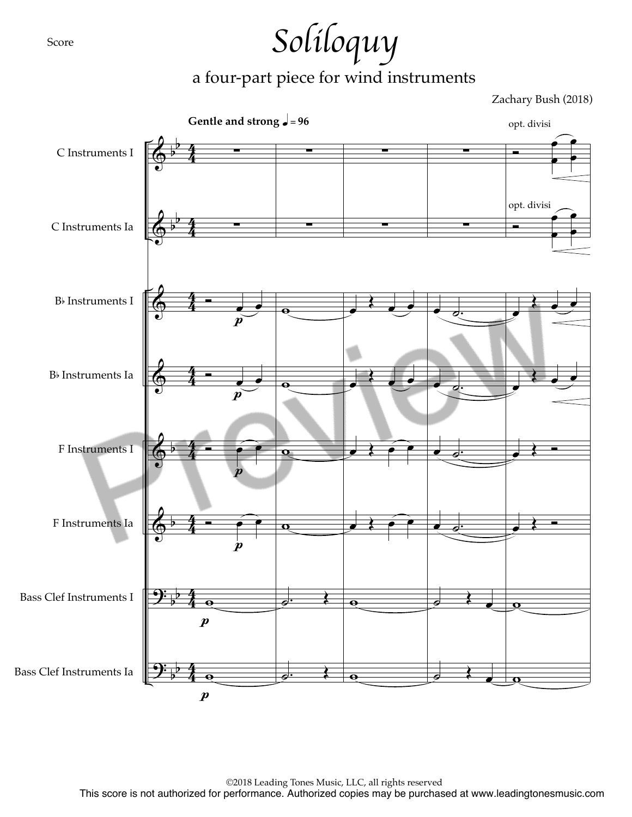

*Soliloquy*

a four-part piece for wind instruments

Zachary Bush (2018)

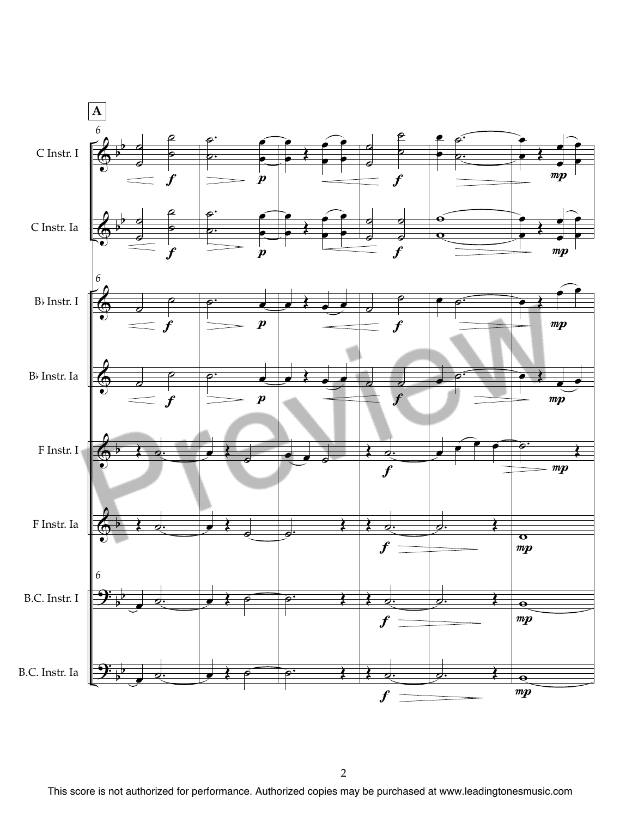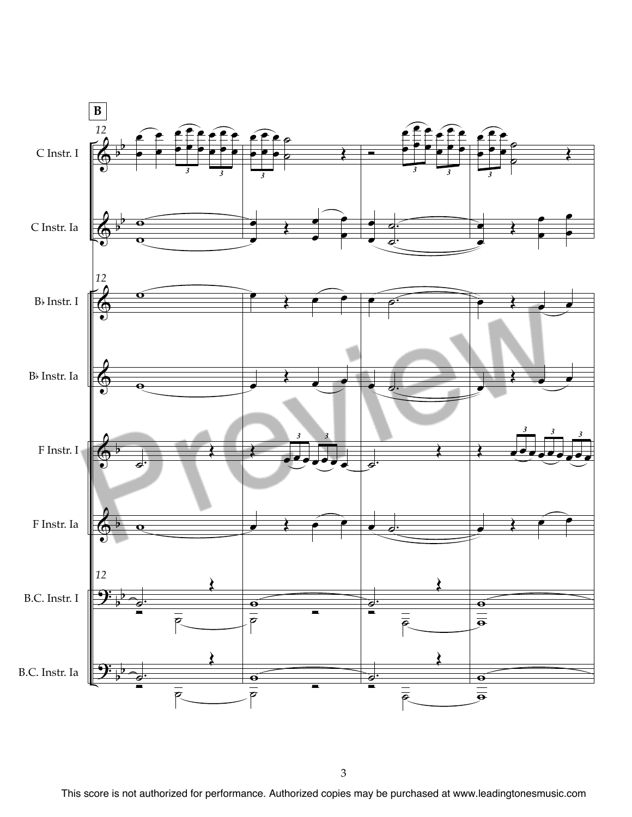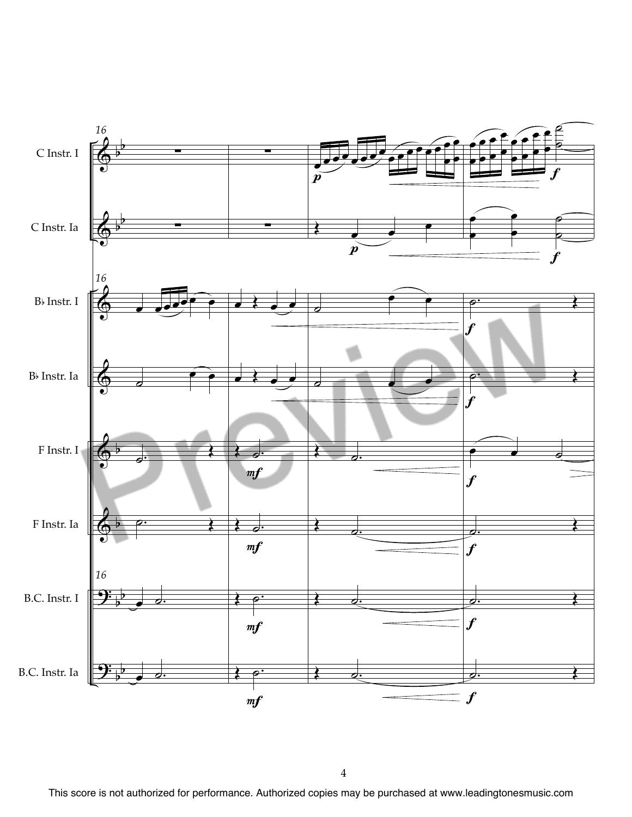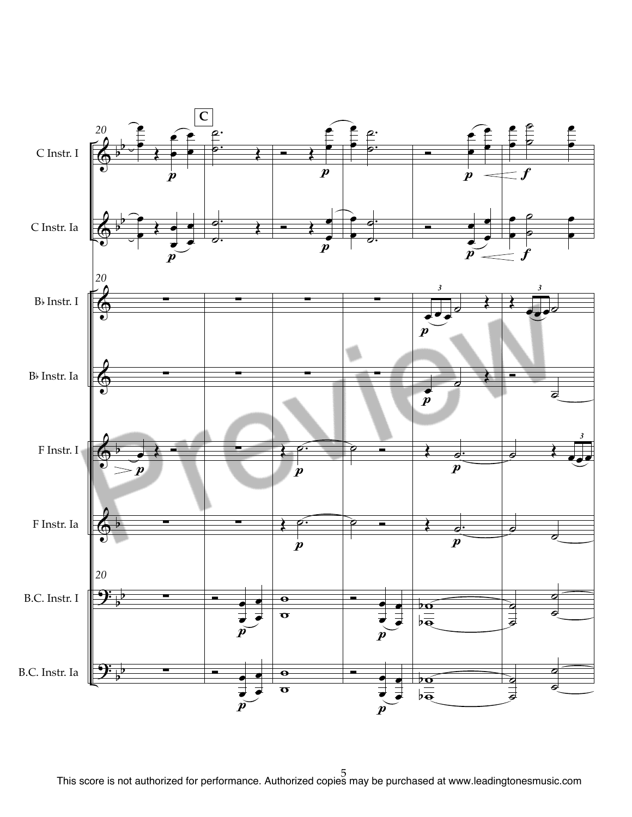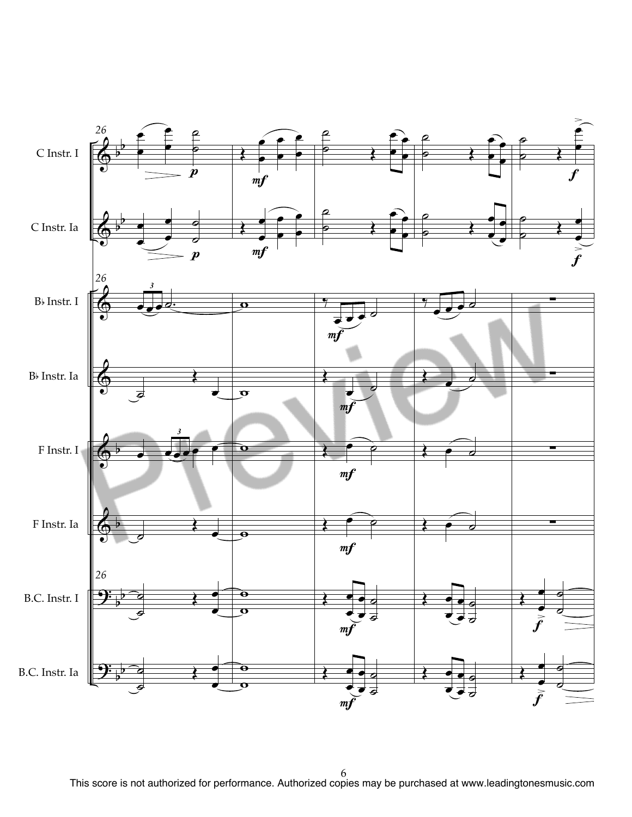

6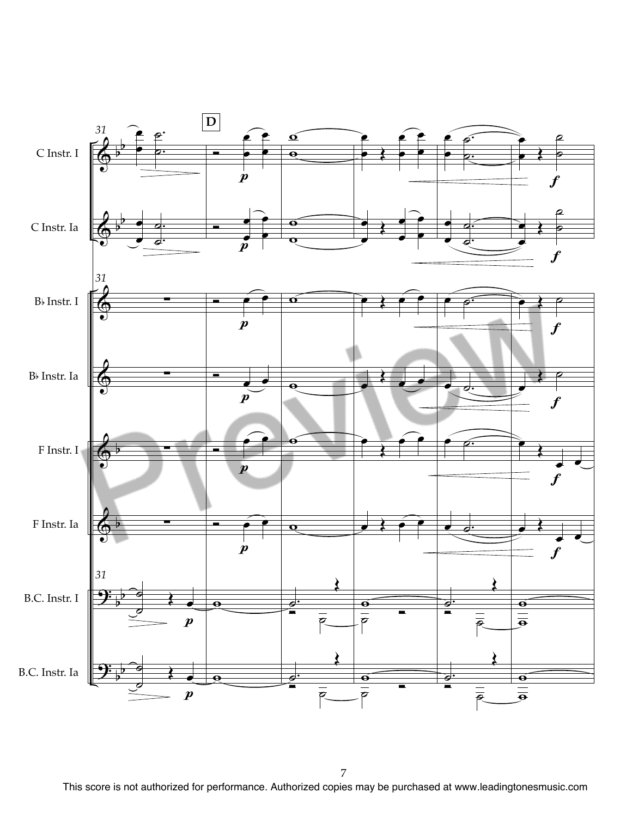